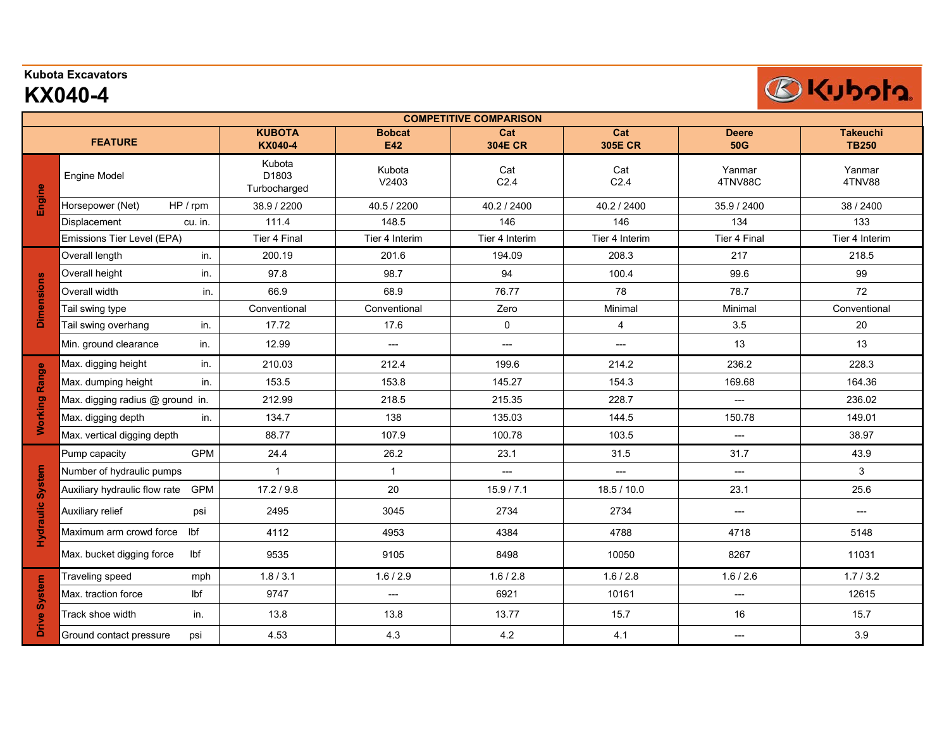## **Kubota Excavators**

## **KX040-4**

| <b>COMPETITIVE COMPARISON</b> |                                             |                                             |                          |                         |                         |                            |                                 |  |  |  |  |
|-------------------------------|---------------------------------------------|---------------------------------------------|--------------------------|-------------------------|-------------------------|----------------------------|---------------------------------|--|--|--|--|
| <b>FEATURE</b>                |                                             | <b>KUBOTA</b><br><b>KX040-4</b>             | <b>Bobcat</b><br>E42     | Cat<br><b>304E CR</b>   | Cat<br><b>305E CR</b>   | <b>Deere</b><br><b>50G</b> | <b>Takeuchi</b><br><b>TB250</b> |  |  |  |  |
| Engine                        | <b>Engine Model</b>                         | Kubota<br>D <sub>1803</sub><br>Turbocharged | Kubota<br>V2403          | Cat<br>C <sub>2.4</sub> | Cat<br>C <sub>2.4</sub> | Yanmar<br>4TNV88C          | Yanmar<br>4TNV88                |  |  |  |  |
|                               | HP / rpm<br>Horsepower (Net)                | 38.9 / 2200                                 | 40.5 / 2200              | 40.2 / 2400             | 40.2 / 2400             | 35.9 / 2400                | 38 / 2400                       |  |  |  |  |
|                               | cu. in.<br>Displacement                     | 111.4                                       | 148.5                    | 146                     | 146                     | 134                        | 133                             |  |  |  |  |
|                               | Emissions Tier Level (EPA)                  | Tier 4 Final                                | Tier 4 Interim           | Tier 4 Interim          | Tier 4 Interim          | Tier 4 Final               | Tier 4 Interim                  |  |  |  |  |
| <b>Dimensions</b>             | Overall length<br>in.                       | 200.19                                      | 201.6                    | 194.09                  | 208.3                   | 217                        | 218.5                           |  |  |  |  |
|                               | Overall height<br>in.                       | 97.8                                        | 98.7                     | 94                      | 100.4                   | 99.6                       | 99                              |  |  |  |  |
|                               | Overall width<br>in.                        | 66.9                                        | 68.9                     | 76.77                   | 78                      | 78.7                       | 72                              |  |  |  |  |
|                               | Tail swing type                             | Conventional                                | Conventional             | Zero                    | Minimal                 | Minimal                    | Conventional                    |  |  |  |  |
|                               | Tail swing overhang<br>in.                  | 17.72                                       | 17.6                     | 0                       | $\overline{4}$          | 3.5                        | 20                              |  |  |  |  |
|                               | Min. ground clearance<br>in.                | 12.99                                       | $\hspace{0.05cm} \ldots$ | $---$                   | $---$                   | 13                         | 13                              |  |  |  |  |
|                               | Max. digging height<br>in.                  | 210.03                                      | 212.4                    | 199.6                   | 214.2                   | 236.2                      | 228.3                           |  |  |  |  |
|                               | Max. dumping height<br>in.                  | 153.5                                       | 153.8                    | 145.27                  | 154.3                   | 169.68                     | 164.36                          |  |  |  |  |
|                               | Max. digging radius @ ground in.            | 212.99                                      | 218.5                    | 215.35                  | 228.7                   | $\overline{a}$             | 236.02                          |  |  |  |  |
| <b>Working Range</b>          | Max. digging depth<br>in.                   | 134.7                                       | 138                      | 135.03                  | 144.5                   | 150.78                     | 149.01                          |  |  |  |  |
|                               | Max. vertical digging depth                 | 88.77                                       | 107.9                    | 100.78                  | 103.5                   | ---                        | 38.97                           |  |  |  |  |
|                               | <b>GPM</b><br>Pump capacity                 | 24.4                                        | 26.2                     | 23.1                    | 31.5                    | 31.7                       | 43.9                            |  |  |  |  |
|                               | Number of hydraulic pumps                   | $\mathbf{1}$                                | $\mathbf{1}$             | $---$                   | ---                     | $\hspace{0.05cm} \ldots$   | 3                               |  |  |  |  |
| Hydraulic System              | <b>GPM</b><br>Auxiliary hydraulic flow rate | 17.2 / 9.8                                  | 20                       | 15.9 / 7.1              | 18.5 / 10.0             | 23.1                       | 25.6                            |  |  |  |  |
|                               | Auxiliary relief<br>psi                     | 2495                                        | 3045                     | 2734                    | 2734                    | $---$                      | $---$                           |  |  |  |  |
|                               | lbf<br>Maximum arm crowd force              | 4112                                        | 4953                     | 4384                    | 4788                    | 4718                       | 5148                            |  |  |  |  |
|                               | lbf<br>Max. bucket digging force            | 9535                                        | 9105                     | 8498                    | 10050                   | 8267                       | 11031                           |  |  |  |  |
| Drive System                  | Traveling speed<br>mph                      | 1.8 / 3.1                                   | 1.6 / 2.9                | 1.6 / 2.8               | 1.6 / 2.8               | 1.6 / 2.6                  | 1.7/3.2                         |  |  |  |  |
|                               | Max. traction force<br>Ibf                  | 9747                                        | $---$                    | 6921                    | 10161                   | $---$                      | 12615                           |  |  |  |  |
|                               | Track shoe width<br>in.                     | 13.8                                        | 13.8                     | 13.77                   | 15.7                    | 16                         | 15.7                            |  |  |  |  |
|                               | Ground contact pressure<br>psi              | 4.53                                        | 4.3                      | 4.2                     | 4.1                     | ---                        | 3.9                             |  |  |  |  |